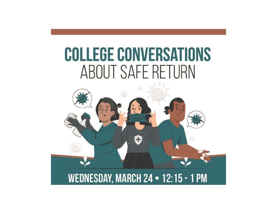# **COLLEGE CONVERSATIONS** ABOUT SAFE RETURN

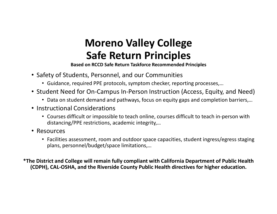## Moreno Valley College Safe Return Principles

Based on RCCD Safe Return Taskforce Recommended Principles

- Safety of Students, Personnel, and our Communities
	- Guidance, required PPE protocols, symptom checker, reporting processes,…
- Student Need for On-Campus In-Person Instruction (Access, Equity, and Need)
	- Data on student demand and pathways, focus on equity gaps and completion barriers,…
- Instructional Considerations
	- Courses difficult or impossible to teach online, courses difficult to teach in-person with distancing/PPE restrictions, academic integrity,…
- Resources
	- Facilities assessment, room and outdoor space capacities, student ingress/egress staging plans, personnel/budget/space limitations,…

\*The District and College will remain fully compliant with California Department of Public Health (CDPH), CAL-OSHA, and the Riverside County Public Health directives for higher education.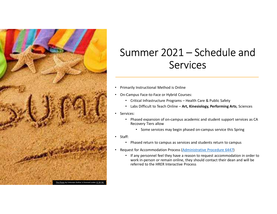

# Summer 2021 – Schedule and<br>Services Services UMMET 2021 — Schedule and<br>
Services<br>
marily Instructional Method is Online<br>
Campus Face-to-Face or Hybrid Courses:<br>
• Critical Infrastructure Programs – Health Care & Public Safety<br>
• Labs Difficult to Teach Online – Art,

- Primarily Instructional Method is Online
- On-Campus Face-to-Face or Hybrid Courses:
	-
	- Labs Difficult to Teach Online Art, Kinesiology, Performing Arts, Sciences
- Services:
	- Phased expansion of on-campus academic and student support services as CA Recovery Tiers allow
		- Some services may begin phased on-campus service this Spring
- Staff:
	- Phased return to campus as services and students return to campus
- Request for Accommodation Process (Administrative Procedure 6447)
	- If any personnel feel they have a reason to request accommodation in order to work in-person or remain online, they should contact their dean and will be referred to the HRER Interactive Process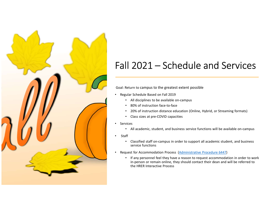

# Fall 2021 — Schedule and Services

### Goal: Return to campus to the greatest extent possible

- Regular Schedule Based on Fall 2019
	- All disciplines to be available on-campus
	- 80% of instruction face-to-face
	- 20% of instruction distance education (Online, Hybrid, or Streaming formats)
	- Class sizes at pre-COVID capacities
- Services
	- All academic, student, and business service functions will be available on-campus
- Staff
	- Classified staff on-campus in order to support all academic student, and business service functions
- Request for Accommodation Process (Administrative Procedure 6447)
	- If any personnel feel they have a reason to request accommodation in order to work in-person or remain online, they should contact their dean and will be referred to the HRER Interactive Process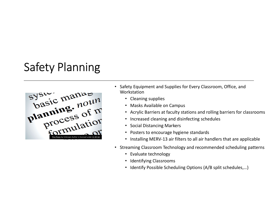# Safety Planning



- Safety Equipment and Supplies for Every Classroom, Office, and Workstation
	- Cleaning supplies
	- Masks Available on Campus
	- Acrylic Barriers at faculty stations and rolling barriers for classrooms
	- Increased cleaning and disinfecting schedules
	- Social Distancing Markers
	- Posters to encourage hygiene standards
	- Installing MERV-13 air filters to all air handlers that are applicable
- Streaming Classroom Technology and recommended scheduling patterns
	- Evaluate technology
	- Identifying Classrooms
	- Identify Possible Scheduling Options (A/B split schedules,…)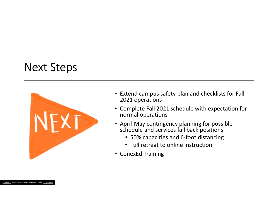# Next Steps



- Extend campus safety plan and checklists for Fall 2021 operations
- Complete Fall 2021 schedule with expectation for normal operations
- April-May contingency planning for possible schedule and services fall back positions
	- 50% capacities and 6-foot distancing
	- Full retreat to online instruction
- ConexEd Training